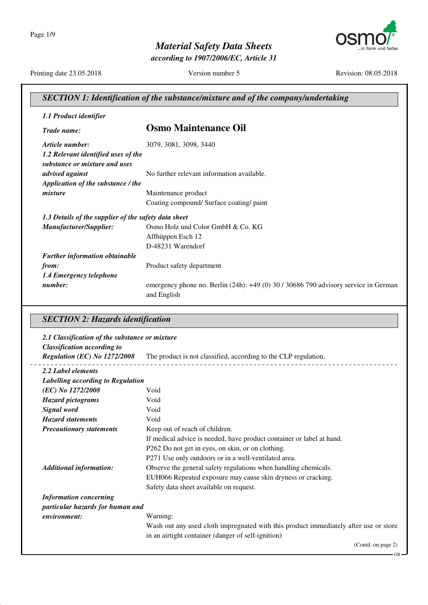

*according to 1907/2006/EC, Article 31*

Printing date 23.05.2018 Version number 5 Revision: 08.05.2018

#### *SECTION 1: Identification of the substance/mixture and of the company/undertaking 1.1 Product identifier Trade name:* **Osmo Maintenance Oil** *Article number:* 3079, 3081, 3098, 3440 *1.2 Relevant identified uses of the substance or mixture and uses advised against* No further relevant information available. *Application of the substance / the mixture* Maintenance product Coating compound/ Surface coating/ paint *1.3 Details of the supplier of the safety data sheet Manufacturer/Supplier:* Osmo Holz und Color GmbH & Co. KG Affhüppen Esch 12 D-48231 Warendorf *Further information obtainable from:* Product safety department *1.4 Emergency telephone number*: emergency phone no. Berlin (24h): +49 (0) 30 / 30686 790 advisory service in German and English *SECTION 2: Hazards identification 2.1 Classification of the substance or mixture Classification according to Regulation (EC) No 1272/2008* The product is not classified, according to the CLP regulation. *2.2 Label elements Labelling according to Regulation (EC) No 1272/2008* Void *Hazard pictograms* Void *Signal word* Void *Hazard statements* Void *Precautionary statements* Keep out of reach of children. If medical advice is needed, have product container or label at hand. P262 Do not get in eyes, on skin, or on clothing. P271 Use only outdoors or in a well-ventilated area. *Additional information:* Observe the general safety regulations when handling chemicals. EUH066 Repeated exposure may cause skin dryness or cracking. Safety data sheet available on request. *Information concerning particular hazards for human and environment:* Warning: Wash out any used cloth impregnated with this product immediately after use or store in an airtight container (danger of self-ignition) (Contd. on page 2) GB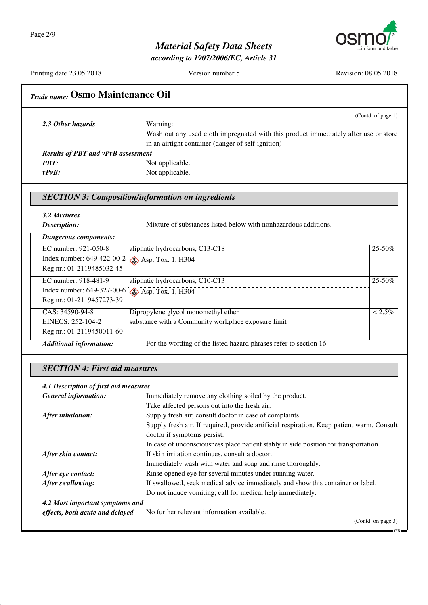

*according to 1907/2006/EC, Article 31*

Printing date 23.05.2018 Version number 5 Revision: 08.05.2018

## *Trade name:* **Osmo Maintenance Oil**

|                                           | (Contd. of page $1$ )                                                                |  |
|-------------------------------------------|--------------------------------------------------------------------------------------|--|
| 2.3 Other hazards                         | Warning:                                                                             |  |
|                                           | Wash out any used cloth impregnated with this product immediately after use or store |  |
|                                           | in an airtight container (danger of self-ignition)                                   |  |
| <b>Results of PBT and vPvB assessment</b> |                                                                                      |  |
| PBT:                                      | Not applicable.                                                                      |  |
| vPvB:                                     | Not applicable.                                                                      |  |

### *SECTION 3: Composition/information on ingredients*

*3.2 Mixtures*

*Mixture of substances listed below with nonhazardous additions.* 

| <i>Description:</i> |  |
|---------------------|--|
| <b>D</b>            |  |

| Dangerous components:                                    |                                                                   |              |
|----------------------------------------------------------|-------------------------------------------------------------------|--------------|
| EC number: 921-050-8                                     | aliphatic hydrocarbons, C13-C18                                   | $25 - 50\%$  |
| Index number: $649-422-00-2$ .                           | $\leftrightarrow$ Asp. Tox. 1, H304                               |              |
| Reg.nr.: 01-2119485032-45                                |                                                                   |              |
| EC number: 918-481-9                                     | aliphatic hydrocarbons, C10-C13                                   | $25 - 50\%$  |
| Index number: $649-327-00-6$ $\otimes$ Asp. Tox. 1, H304 |                                                                   |              |
| Reg.nr.: 01-2119457273-39                                |                                                                   |              |
| CAS: 34590-94-8                                          | Dipropylene glycol monomethyl ether                               | $\leq 2.5\%$ |
| EINECS: 252-104-2                                        | substance with a Community workplace exposure limit               |              |
| Reg.nr.: 01-2119450011-60                                |                                                                   |              |
| <b>Additional information:</b>                           | For the wording of the listed hazard phrases refer to section 16. |              |

#### *SECTION 4: First aid measures*

#### *4.1 Description of first aid measures*

| <b>General information:</b>     | Immediately remove any clothing soiled by the product.                                    |  |
|---------------------------------|-------------------------------------------------------------------------------------------|--|
|                                 | Take affected persons out into the fresh air.                                             |  |
| After inhalation:               | Supply fresh air; consult doctor in case of complaints.                                   |  |
|                                 | Supply fresh air. If required, provide artificial respiration. Keep patient warm. Consult |  |
|                                 | doctor if symptoms persist.                                                               |  |
|                                 | In case of unconsciousness place patient stably in side position for transportation.      |  |
| After skin contact:             | If skin irritation continues, consult a doctor.                                           |  |
|                                 | Immediately wash with water and soap and rinse thoroughly.                                |  |
| After eye contact:              | Rinse opened eye for several minutes under running water.                                 |  |
| After swallowing:               | If swallowed, seek medical advice immediately and show this container or label.           |  |
|                                 | Do not induce vomiting; call for medical help immediately.                                |  |
| 4.2 Most important symptoms and |                                                                                           |  |
| effects, both acute and delayed | No further relevant information available.                                                |  |
|                                 | (Contd. on page 3)                                                                        |  |

GB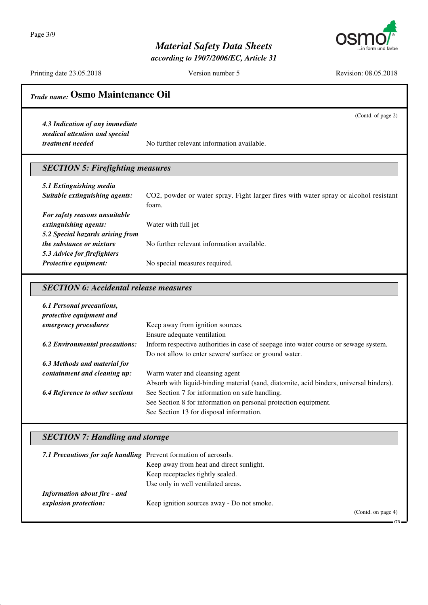Page 3/9



### *Material Safety Data Sheets*

*according to 1907/2006/EC, Article 31*

Printing date 23.05.2018 Version number 5 Revision: 08.05.2018

(Contd. of page 2)

GB

### *Trade name:* **Osmo Maintenance Oil**

*4.3 Indication of any immediate medical attention and special*

*treatment needed* No further relevant information available.

#### *SECTION 5: Firefighting measures*

| 5.1 Extinguishing media          |                                                                                      |
|----------------------------------|--------------------------------------------------------------------------------------|
| Suitable extinguishing agents:   | CO2, powder or water spray. Fight larger fires with water spray or alcohol resistant |
|                                  | foam.                                                                                |
| For safety reasons unsuitable    |                                                                                      |
| extinguishing agents:            | Water with full jet                                                                  |
| 5.2 Special hazards arising from |                                                                                      |
| <i>the substance or mixture</i>  | No further relevant information available.                                           |
| 5.3 Advice for firefighters      |                                                                                      |
| Protective equipment:            | No special measures required.                                                        |

#### *SECTION 6: Accidental release measures*

| 6.1 Personal precautions,<br>protective equipment and |                                                                                         |
|-------------------------------------------------------|-----------------------------------------------------------------------------------------|
| <i>emergency procedures</i>                           | Keep away from ignition sources.                                                        |
|                                                       | Ensure adequate ventilation                                                             |
| <b>6.2 Environmental precautions:</b>                 | Inform respective authorities in case of seepage into water course or sewage system.    |
|                                                       | Do not allow to enter sewers/ surface or ground water.                                  |
| 6.3 Methods and material for                          |                                                                                         |
| containment and cleaning up:                          | Warm water and cleansing agent                                                          |
|                                                       | Absorb with liquid-binding material (sand, diatomite, acid binders, universal binders). |
| <b>6.4 Reference to other sections</b>                | See Section 7 for information on safe handling.                                         |
|                                                       | See Section 8 for information on personal protection equipment.                         |
|                                                       | See Section 13 for disposal information.                                                |

#### *SECTION 7: Handling and storage*

| 7.1 Precautions for safe handling Prevent formation of aerosols. |                                            |                    |
|------------------------------------------------------------------|--------------------------------------------|--------------------|
|                                                                  | Keep away from heat and direct sunlight.   |                    |
|                                                                  | Keep receptacles tightly sealed.           |                    |
|                                                                  | Use only in well ventilated areas.         |                    |
| <b>Information about fire - and</b>                              |                                            |                    |
| explosion protection:                                            | Keep ignition sources away - Do not smoke. |                    |
|                                                                  |                                            | (Contd. on page 4) |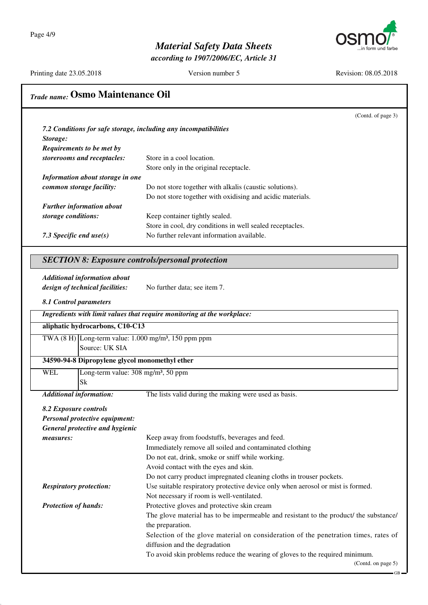$\overline{\phantom{a}}$ 



## *Material Safety Data Sheets*

*according to 1907/2006/EC, Article 31*

Printing date 23.05.2018 Version number 5 Revision: 08.05.2018

| Trade name: Osmo Maintenance Oil |                                                 |                                                                                                                      |
|----------------------------------|-------------------------------------------------|----------------------------------------------------------------------------------------------------------------------|
|                                  |                                                 | (Contd. of page 3)                                                                                                   |
|                                  |                                                 | 7.2 Conditions for safe storage, including any incompatibilities                                                     |
| Storage:                         |                                                 |                                                                                                                      |
|                                  | Requirements to be met by                       |                                                                                                                      |
|                                  | storerooms and receptacles:                     | Store in a cool location.                                                                                            |
|                                  |                                                 | Store only in the original receptacle.                                                                               |
|                                  | Information about storage in one                |                                                                                                                      |
|                                  | common storage facility:                        | Do not store together with alkalis (caustic solutions).                                                              |
|                                  |                                                 | Do not store together with oxidising and acidic materials.                                                           |
|                                  | <b>Further information about</b>                |                                                                                                                      |
| storage conditions:              |                                                 | Keep container tightly sealed.                                                                                       |
|                                  |                                                 | Store in cool, dry conditions in well sealed receptacles.<br>No further relevant information available.              |
|                                  | 7.3 Specific end $use(s)$                       |                                                                                                                      |
|                                  |                                                 | <b>SECTION 8: Exposure controls/personal protection</b>                                                              |
|                                  |                                                 |                                                                                                                      |
|                                  | <b>Additional information about</b>             |                                                                                                                      |
|                                  | design of technical facilities:                 | No further data; see item 7.                                                                                         |
|                                  | 8.1 Control parameters                          |                                                                                                                      |
|                                  |                                                 | Ingredients with limit values that require monitoring at the workplace:                                              |
|                                  | aliphatic hydrocarbons, C10-C13                 |                                                                                                                      |
|                                  |                                                 | TWA $(8 \text{ H})$ Long-term value: 1.000 mg/m <sup>3</sup> , 150 ppm ppm                                           |
|                                  | Source: UK SIA                                  |                                                                                                                      |
|                                  | 34590-94-8 Dipropylene glycol monomethyl ether  |                                                                                                                      |
| <b>WEL</b>                       | Long-term value: 308 mg/m <sup>3</sup> , 50 ppm |                                                                                                                      |
|                                  | Sk                                              |                                                                                                                      |
|                                  | <b>Additional information:</b>                  | The lists valid during the making were used as basis.                                                                |
|                                  | 8.2 Exposure controls                           |                                                                                                                      |
|                                  | Personal protective equipment:                  |                                                                                                                      |
|                                  | General protective and hygienic                 |                                                                                                                      |
| measures:                        |                                                 | Keep away from foodstuffs, beverages and feed.                                                                       |
|                                  |                                                 | Immediately remove all soiled and contaminated clothing                                                              |
|                                  |                                                 | Do not eat, drink, smoke or sniff while working.                                                                     |
|                                  |                                                 | Avoid contact with the eyes and skin.                                                                                |
|                                  |                                                 | Do not carry product impregnated cleaning cloths in trouser pockets.                                                 |
|                                  | <b>Respiratory protection:</b>                  | Use suitable respiratory protective device only when aerosol or mist is formed.                                      |
|                                  |                                                 | Not necessary if room is well-ventilated.                                                                            |
| <b>Protection of hands:</b>      |                                                 | Protective gloves and protective skin cream                                                                          |
|                                  |                                                 | The glove material has to be impermeable and resistant to the product/ the substance/<br>the preparation.            |
|                                  |                                                 | Selection of the glove material on consideration of the penetration times, rates of<br>diffusion and the degradation |
|                                  |                                                 | To avoid skin problems reduce the wearing of gloves to the required minimum.                                         |
|                                  |                                                 | (Contd. on page 5)                                                                                                   |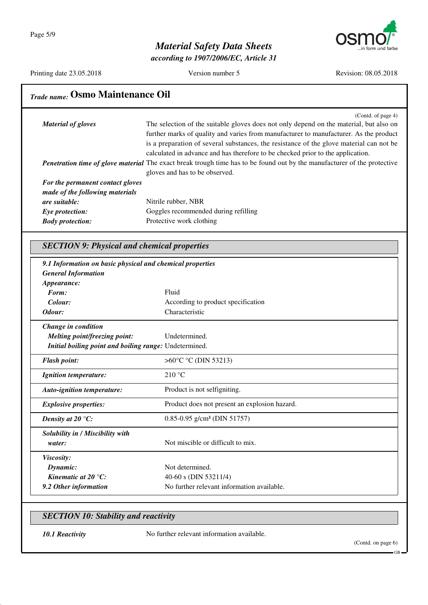

*according to 1907/2006/EC, Article 31*

Printing date 23.05.2018 Version number 5 Revision: 08.05.2018

| Trade name: Osmo Maintenance Oil                                                                                                                                                                                                                                                                                                                                                    |  |  |
|-------------------------------------------------------------------------------------------------------------------------------------------------------------------------------------------------------------------------------------------------------------------------------------------------------------------------------------------------------------------------------------|--|--|
| (Contd. of page 4)<br>The selection of the suitable gloves does not only depend on the material, but also on<br>further marks of quality and varies from manufacturer to manufacturer. As the product<br>is a preparation of several substances, the resistance of the glove material can not be<br>calculated in advance and has therefore to be checked prior to the application. |  |  |
| Penetration time of glove material The exact break trough time has to be found out by the manufacturer of the protective<br>gloves and has to be observed.                                                                                                                                                                                                                          |  |  |
| For the permanent contact gloves                                                                                                                                                                                                                                                                                                                                                    |  |  |
| Nitrile rubber, NBR                                                                                                                                                                                                                                                                                                                                                                 |  |  |
| Goggles recommended during refilling                                                                                                                                                                                                                                                                                                                                                |  |  |
| Protective work clothing                                                                                                                                                                                                                                                                                                                                                            |  |  |
| <b>SECTION 9: Physical and chemical properties</b>                                                                                                                                                                                                                                                                                                                                  |  |  |
| 9.1 Information on basic physical and chemical properties                                                                                                                                                                                                                                                                                                                           |  |  |
| Fluid                                                                                                                                                                                                                                                                                                                                                                               |  |  |
| According to product specification                                                                                                                                                                                                                                                                                                                                                  |  |  |
| Characteristic                                                                                                                                                                                                                                                                                                                                                                      |  |  |
| Undetermined.<br>Initial boiling point and boiling range: Undetermined.                                                                                                                                                                                                                                                                                                             |  |  |
| > $60^{\circ}$ C °C (DIN 53213)                                                                                                                                                                                                                                                                                                                                                     |  |  |
| 210 °C                                                                                                                                                                                                                                                                                                                                                                              |  |  |
| Product is not selfigniting.                                                                                                                                                                                                                                                                                                                                                        |  |  |
| Product does not present an explosion hazard.                                                                                                                                                                                                                                                                                                                                       |  |  |
| $0.85 - 0.95$ g/cm <sup>3</sup> (DIN 51757)                                                                                                                                                                                                                                                                                                                                         |  |  |
| Not miscible or difficult to mix.                                                                                                                                                                                                                                                                                                                                                   |  |  |
| Not determined.                                                                                                                                                                                                                                                                                                                                                                     |  |  |
| 40-60 s (DIN 53211/4)                                                                                                                                                                                                                                                                                                                                                               |  |  |
|                                                                                                                                                                                                                                                                                                                                                                                     |  |  |
|                                                                                                                                                                                                                                                                                                                                                                                     |  |  |

**10.1 Reactivity** No further relevant information available.

GB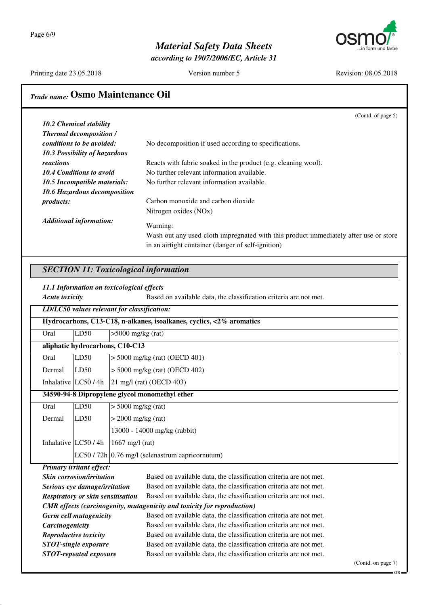Page 6/9

### *Material Safety Data Sheets*

*according to 1907/2006/EC, Article 31*



Printing date 23.05.2018 Version number 5 Revision: 08.05.2018

### *Trade name:* **Osmo Maintenance Oil**

|                                 | (Contd. of page 5)                                                                   |
|---------------------------------|--------------------------------------------------------------------------------------|
| <b>10.2 Chemical stability</b>  |                                                                                      |
| <b>Thermal decomposition /</b>  |                                                                                      |
| conditions to be avoided:       | No decomposition if used according to specifications.                                |
| 10.3 Possibility of hazardous   |                                                                                      |
| reactions                       | Reacts with fabric soaked in the product (e.g. cleaning wool).                       |
| <b>10.4 Conditions to avoid</b> | No further relevant information available.                                           |
| 10.5 Incompatible materials:    | No further relevant information available.                                           |
| 10.6 Hazardous decomposition    |                                                                                      |
| <i>products:</i>                | Carbon monoxide and carbon dioxide                                                   |
|                                 | Nitrogen oxides (NOx)                                                                |
| <b>Additional information:</b>  | Warning:                                                                             |
|                                 | Wash out any used cloth impregnated with this product immediately after use or store |
|                                 | in an airtight container (danger of self-ignition)                                   |

#### *SECTION 11: Toxicological information*

*11.1 Information on toxicological effects*

| 11.1 Information on toxicological effects      |                                                                      |                                                                   |                                                                   |  |
|------------------------------------------------|----------------------------------------------------------------------|-------------------------------------------------------------------|-------------------------------------------------------------------|--|
| <b>Acute toxicity</b>                          |                                                                      | Based on available data, the classification criteria are not met. |                                                                   |  |
|                                                | LD/LC50 values relevant for classification:                          |                                                                   |                                                                   |  |
|                                                | Hydrocarbons, C13-C18, n-alkanes, isoalkanes, cyclics, <2% aromatics |                                                                   |                                                                   |  |
| Oral                                           | LD50                                                                 |                                                                   | $>5000$ mg/kg (rat)                                               |  |
| aliphatic hydrocarbons, C10-C13                |                                                                      |                                                                   |                                                                   |  |
| Oral                                           | LD50                                                                 |                                                                   | $> 5000$ mg/kg (rat) (OECD 401)                                   |  |
| Dermal                                         | LD50                                                                 |                                                                   | $>$ 5000 mg/kg (rat) (OECD 402)                                   |  |
|                                                | Inhalative $LC50/4h$                                                 | 21 mg/l (rat) (OECD 403)                                          |                                                                   |  |
| 34590-94-8 Dipropylene glycol monomethyl ether |                                                                      |                                                                   |                                                                   |  |
| Oral                                           | LD50                                                                 | $> 5000$ mg/kg (rat)                                              |                                                                   |  |
| Dermal                                         | LD50                                                                 | $>$ 2000 mg/kg (rat)                                              |                                                                   |  |
|                                                |                                                                      |                                                                   | 13000 - 14000 mg/kg (rabbit)                                      |  |
|                                                | Inhalative $LC50/4h$                                                 | $1667$ mg/l (rat)                                                 |                                                                   |  |
|                                                |                                                                      |                                                                   | $LC50/72h$ 0.76 mg/l (selenastrum capricornutum)                  |  |
| <b>Primary irritant effect:</b>                |                                                                      |                                                                   |                                                                   |  |
|                                                | <b>Skin corrosion/irritation</b>                                     |                                                                   | Based on available data, the classification criteria are not met. |  |
|                                                | Serious eye damage/irritation                                        |                                                                   | Based on available data, the classification criteria are not met. |  |
| <b>Respiratory or skin sensitisation</b>       |                                                                      |                                                                   | Based on available data, the classification criteria are not met. |  |

*CMR effects (carcinogenity, mutagenicity and toxicity for reproduction)*

| <b>Germ cell mutagenicity</b> | Based on available data, the classification criteria are not met. |
|-------------------------------|-------------------------------------------------------------------|
| Carcinogenicity               | Based on available data, the classification criteria are not met. |
| Reproductive toxicity         | Based on available data, the classification criteria are not met. |
| <b>STOT-single exposure</b>   | Based on available data, the classification criteria are not met. |
| <b>STOT-repeated exposure</b> | Based on available data, the classification criteria are not met. |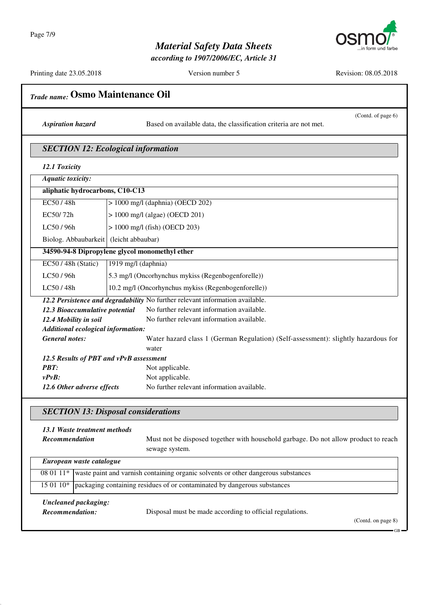

*according to 1907/2006/EC, Article 31*

Printing date 23.05.2018 Version number 5 Revision: 08.05.2018

| Trade name: Osmo Maintenance Oil                                                      |                                                                                                       |  |  |  |
|---------------------------------------------------------------------------------------|-------------------------------------------------------------------------------------------------------|--|--|--|
| <b>Aspiration hazard</b>                                                              | (Contd. of page 6)<br>Based on available data, the classification criteria are not met.               |  |  |  |
|                                                                                       | <b>SECTION 12: Ecological information</b>                                                             |  |  |  |
| 12.1 Toxicity                                                                         |                                                                                                       |  |  |  |
| <b>Aquatic toxicity:</b>                                                              |                                                                                                       |  |  |  |
| aliphatic hydrocarbons, C10-C13                                                       |                                                                                                       |  |  |  |
| EC50/48h                                                                              | $> 1000$ mg/l (daphnia) (OECD 202)                                                                    |  |  |  |
| EC50/72h                                                                              | $> 1000$ mg/l (algae) (OECD 201)                                                                      |  |  |  |
|                                                                                       |                                                                                                       |  |  |  |
| LC50 / 96h                                                                            | > 1000 mg/l (fish) (OECD 203)                                                                         |  |  |  |
| Biolog. Abbaubarkeit (leicht abbaubar)                                                |                                                                                                       |  |  |  |
| 34590-94-8 Dipropylene glycol monomethyl ether                                        |                                                                                                       |  |  |  |
| EC50/48h (Static)                                                                     | 1919 mg/l (daphnia)                                                                                   |  |  |  |
| LC50 / 96h                                                                            | 5.3 mg/l (Oncorhynchus mykiss (Regenbogenforelle))                                                    |  |  |  |
| LC50/48h                                                                              | 10.2 mg/l (Oncorhynchus mykiss (Regenbogenforelle))                                                   |  |  |  |
|                                                                                       | 12.2 Persistence and degradability No further relevant information available.                         |  |  |  |
| 12.3 Bioaccumulative potential                                                        | No further relevant information available.                                                            |  |  |  |
| 12.4 Mobility in soil                                                                 | No further relevant information available.                                                            |  |  |  |
| Additional ecological information:                                                    |                                                                                                       |  |  |  |
| <b>General notes:</b>                                                                 | Water hazard class 1 (German Regulation) (Self-assessment): slightly hazardous for<br>water           |  |  |  |
| 12.5 Results of PBT and vPvB assessment                                               |                                                                                                       |  |  |  |
| <b>PBT:</b>                                                                           | Not applicable.                                                                                       |  |  |  |
| $v P v B$ :                                                                           | Not applicable.                                                                                       |  |  |  |
| 12.6 Other adverse effects                                                            | No further relevant information available.                                                            |  |  |  |
|                                                                                       | <b>SECTION 13: Disposal considerations</b>                                                            |  |  |  |
| 13.1 Waste treatment methods                                                          |                                                                                                       |  |  |  |
| Recommendation                                                                        | Must not be disposed together with household garbage. Do not allow product to reach<br>sewage system. |  |  |  |
| European waste catalogue                                                              |                                                                                                       |  |  |  |
| 08 01 11*                                                                             | waste paint and varnish containing organic solvents or other dangerous substances                     |  |  |  |
| packaging containing residues of or contaminated by dangerous substances<br>15 01 10* |                                                                                                       |  |  |  |
|                                                                                       |                                                                                                       |  |  |  |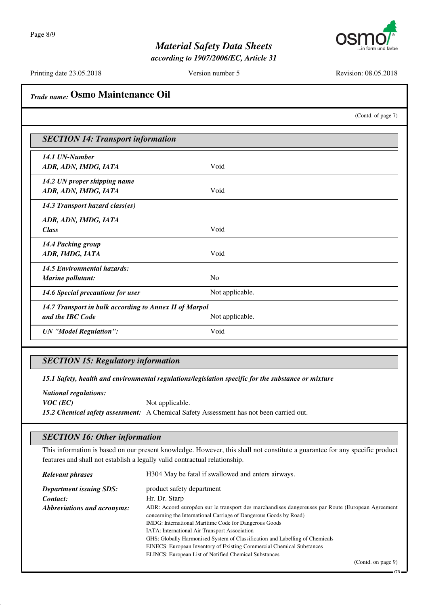

*according to 1907/2006/EC, Article 31*

Printing date 23.05.2018 Version number 5 Revision: 08.05.2018

| Trade name: Osmo Maintenance Oil |                                                                                                                                                                                                                                                                                                              |                                                                                                                                                                                                           |                    |  |
|----------------------------------|--------------------------------------------------------------------------------------------------------------------------------------------------------------------------------------------------------------------------------------------------------------------------------------------------------------|-----------------------------------------------------------------------------------------------------------------------------------------------------------------------------------------------------------|--------------------|--|
|                                  |                                                                                                                                                                                                                                                                                                              |                                                                                                                                                                                                           | (Contd. of page 7) |  |
|                                  | <b>SECTION 14: Transport information</b>                                                                                                                                                                                                                                                                     |                                                                                                                                                                                                           |                    |  |
|                                  | 14.1 UN-Number<br>ADR, ADN, IMDG, IATA                                                                                                                                                                                                                                                                       | Void                                                                                                                                                                                                      |                    |  |
|                                  | 14.2 UN proper shipping name<br>ADR, ADN, IMDG, IATA                                                                                                                                                                                                                                                         | Void                                                                                                                                                                                                      |                    |  |
|                                  | 14.3 Transport hazard class(es)                                                                                                                                                                                                                                                                              |                                                                                                                                                                                                           |                    |  |
|                                  | ADR, ADN, IMDG, IATA<br><b>Class</b>                                                                                                                                                                                                                                                                         | Void                                                                                                                                                                                                      |                    |  |
|                                  | 14.4 Packing group<br>ADR, IMDG, IATA                                                                                                                                                                                                                                                                        | Void                                                                                                                                                                                                      |                    |  |
|                                  | 14.5 Environmental hazards:<br>Marine pollutant:                                                                                                                                                                                                                                                             | No                                                                                                                                                                                                        |                    |  |
|                                  | 14.6 Special precautions for user                                                                                                                                                                                                                                                                            | Not applicable.                                                                                                                                                                                           |                    |  |
|                                  | 14.7 Transport in bulk according to Annex II of Marpol<br>and the IBC Code                                                                                                                                                                                                                                   | Not applicable.                                                                                                                                                                                           |                    |  |
|                                  | <b>UN</b> "Model Regulation":                                                                                                                                                                                                                                                                                | Void                                                                                                                                                                                                      |                    |  |
|                                  | <b>SECTION 15: Regulatory information</b><br>15.1 Safety, health and environmental regulations/legislation specific for the substance or mixture<br><b>National regulations:</b><br>$VOC$ (EC)<br>Not applicable.<br>15.2 Chemical safety assessment: A Chemical Safety Assessment has not been carried out. |                                                                                                                                                                                                           |                    |  |
|                                  | <b>SECTION 16: Other information</b>                                                                                                                                                                                                                                                                         |                                                                                                                                                                                                           |                    |  |
|                                  |                                                                                                                                                                                                                                                                                                              | This information is based on our present knowledge. However, this shall not constitute a guarantee for any specific product<br>features and shall not establish a legally valid contractual relationship. |                    |  |
|                                  | <b>Relevant phrases</b>                                                                                                                                                                                                                                                                                      | H304 May be fatal if swallowed and enters airways.                                                                                                                                                        |                    |  |

| <b>Department issuing SDS:</b> | product safety department                                                                         |
|--------------------------------|---------------------------------------------------------------------------------------------------|
| Contact:                       | Hr. Dr. Starp                                                                                     |
| Abbreviations and acronyms:    | ADR: Accord européen sur le transport des marchandises dangereuses par Route (European Agreement) |
|                                | concerning the International Carriage of Dangerous Goods by Road)                                 |
|                                | IMDG: International Maritime Code for Dangerous Goods                                             |
|                                | IATA: International Air Transport Association                                                     |
|                                | GHS: Globally Harmonised System of Classification and Labelling of Chemicals                      |
|                                | <b>EINECS:</b> European Inventory of Existing Commercial Chemical Substances                      |
|                                | ELINCS: European List of Notified Chemical Substances                                             |

(Contd. on page 9)